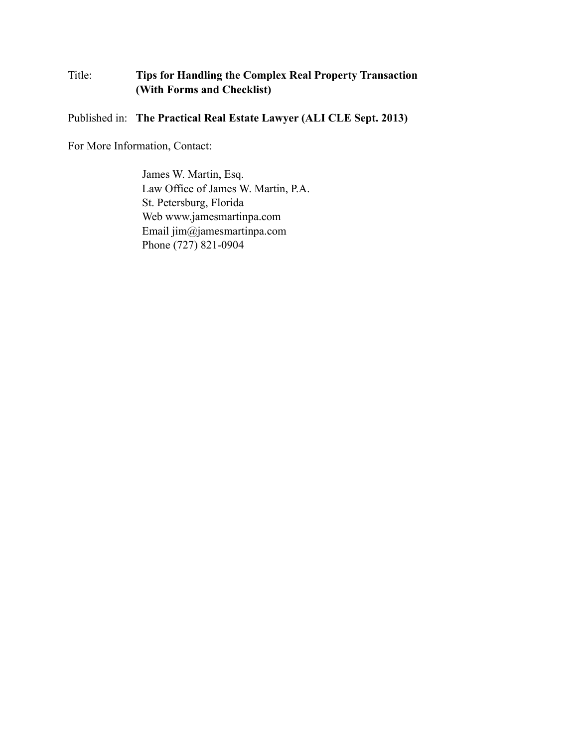## Title: **Tips for Handling the Complex Real Property Transaction (With Forms and Checklist)**

Published in: **The Practical Real Estate Lawyer (ALI CLE Sept. 2013)**

For More Information, Contact:

James W. Martin, Esq. Law Office of James W. Martin, P.A. St. Petersburg, Florida Web www.jamesmartinpa.com Email jim@jamesmartinpa.com Phone (727) 821-0904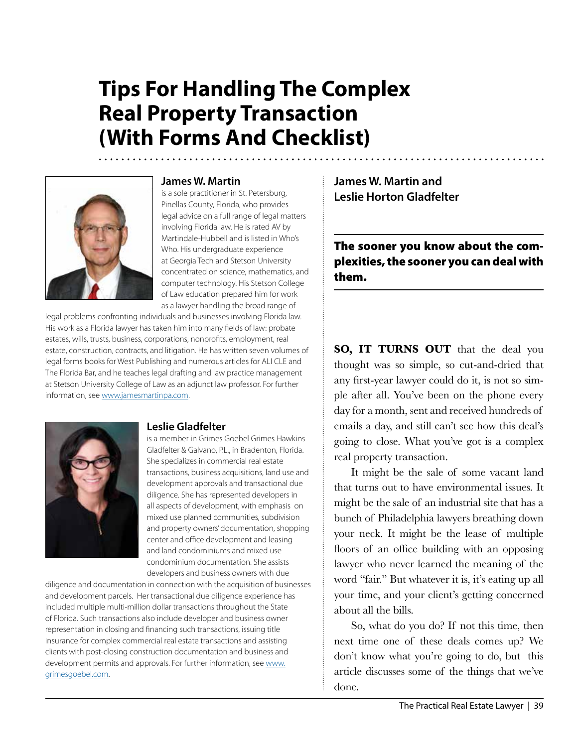# **Tips For Handling The Complex Real Property Transaction (With Forms And Checklist)**



#### **James W. Martin**

is a sole practitioner in St. Petersburg, Pinellas County, Florida, who provides legal advice on a full range of legal matters involving Florida law. He is rated AV by Martindale-Hubbell and is listed in Who's Who. His undergraduate experience at Georgia Tech and Stetson University concentrated on science, mathematics, and computer technology. His Stetson College of Law education prepared him for work as a lawyer handling the broad range of

legal problems confronting individuals and businesses involving Florida law. His work as a Florida lawyer has taken him into many fields of law: probate estates, wills, trusts, business, corporations, nonprofits, employment, real estate, construction, contracts, and litigation. He has written seven volumes of legal forms books for West Publishing and numerous articles for ALI CLE and The Florida Bar, and he teaches legal drafting and law practice management at Stetson University College of Law as an adjunct law professor. For further information, see [www.jamesmartinpa.com.](http://www.jamesmartinpa.com)



#### **Leslie Gladfelter**

is a member in Grimes Goebel Grimes Hawkins Gladfelter & Galvano, P.L., in Bradenton, Florida. She specializes in commercial real estate transactions, business acquisitions, land use and development approvals and transactional due diligence. She has represented developers in all aspects of development, with emphasis on mixed use planned communities, subdivision and property owners' documentation, shopping center and office development and leasing and land condominiums and mixed use condominium documentation. She assists developers and business owners with due

diligence and documentation in connection with the acquisition of businesses and development parcels. Her transactional due diligence experience has included multiple multi-million dollar transactions throughout the State of Florida. Such transactions also include developer and business owner representation in closing and financing such transactions, issuing title insurance for complex commercial real estate transactions and assisting clients with post-closing construction documentation and business and development permits and approvals. For further information, see [www.](http://www.grimesgoebel.com) [grimesgoebel.com.](http://www.grimesgoebel.com)

**James W. Martin and Leslie Horton Gladfelter**

The sooner you know about the complexities, the sooner you can deal with them.

**SO, IT TURNS OUT** that the deal you thought was so simple, so cut-and-dried that any first-year lawyer could do it, is not so simple after all. You've been on the phone every day for a month, sent and received hundreds of emails a day, and still can't see how this deal's going to close. What you've got is a complex real property transaction.

It might be the sale of some vacant land that turns out to have environmental issues. It might be the sale of an industrial site that has a bunch of Philadelphia lawyers breathing down your neck. It might be the lease of multiple floors of an office building with an opposing lawyer who never learned the meaning of the word "fair." But whatever it is, it's eating up all your time, and your client's getting concerned about all the bills.

So, what do you do? If not this time, then next time one of these deals comes up? We don't know what you're going to do, but this article discusses some of the things that we've done.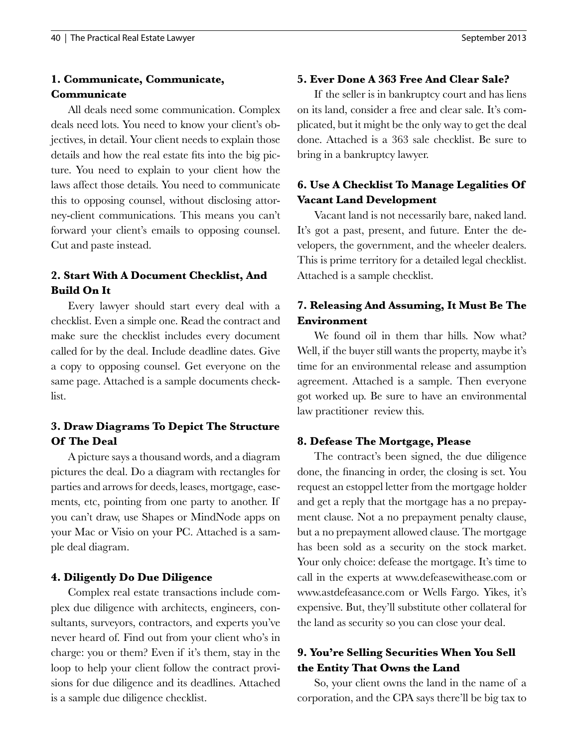## **1. Communicate, Communicate, Communicate**

All deals need some communication. Complex deals need lots. You need to know your client's objectives, in detail. Your client needs to explain those details and how the real estate fits into the big picture. You need to explain to your client how the laws affect those details. You need to communicate this to opposing counsel, without disclosing attorney-client communications. This means you can't forward your client's emails to opposing counsel. Cut and paste instead.

## **2. Start With A Document Checklist, And Build On It**

Every lawyer should start every deal with a checklist. Even a simple one. Read the contract and make sure the checklist includes every document called for by the deal. Include deadline dates. Give a copy to opposing counsel. Get everyone on the same page. Attached is a sample documents checklist.

## **3. Draw Diagrams To Depict The Structure Of The Deal**

A picture says a thousand words, and a diagram pictures the deal. Do a diagram with rectangles for parties and arrows for deeds, leases, mortgage, easements, etc, pointing from one party to another. If you can't draw, use Shapes or MindNode apps on your Mac or Visio on your PC. Attached is a sample deal diagram.

#### **4. Diligently Do Due Diligence**

Complex real estate transactions include complex due diligence with architects, engineers, consultants, surveyors, contractors, and experts you've never heard of. Find out from your client who's in charge: you or them? Even if it's them, stay in the loop to help your client follow the contract provisions for due diligence and its deadlines. Attached is a sample due diligence checklist.

#### **5. Ever Done A 363 Free And Clear Sale?**

If the seller is in bankruptcy court and has liens on its land, consider a free and clear sale. It's complicated, but it might be the only way to get the deal done. Attached is a 363 sale checklist. Be sure to bring in a bankruptcy lawyer.

## **6. Use A Checklist To Manage Legalities Of Vacant Land Development**

Vacant land is not necessarily bare, naked land. It's got a past, present, and future. Enter the developers, the government, and the wheeler dealers. This is prime territory for a detailed legal checklist. Attached is a sample checklist.

## **7. Releasing And Assuming, It Must Be The Environment**

We found oil in them thar hills. Now what? Well, if the buyer still wants the property, maybe it's time for an environmental release and assumption agreement. Attached is a sample. Then everyone got worked up. Be sure to have an environmental law practitioner review this.

#### **8. Defease The Mortgage, Please**

The contract's been signed, the due diligence done, the financing in order, the closing is set. You request an estoppel letter from the mortgage holder and get a reply that the mortgage has a no prepayment clause. Not a no prepayment penalty clause, but a no prepayment allowed clause. The mortgage has been sold as a security on the stock market. Your only choice: defease the mortgage. It's time to call in the experts at www.defeasewithease.com or www.astdefeasance.com or Wells Fargo. Yikes, it's expensive. But, they'll substitute other collateral for the land as security so you can close your deal.

### **9. You're Selling Securities When You Sell the Entity That Owns the Land**

So, your client owns the land in the name of a corporation, and the CPA says there'll be big tax to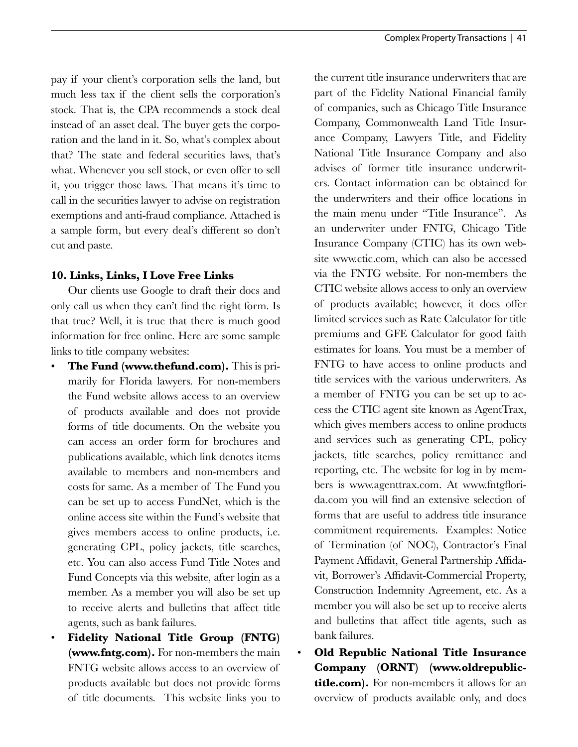pay if your client's corporation sells the land, but much less tax if the client sells the corporation's stock. That is, the CPA recommends a stock deal instead of an asset deal. The buyer gets the corporation and the land in it. So, what's complex about that? The state and federal securities laws, that's what. Whenever you sell stock, or even offer to sell it, you trigger those laws. That means it's time to call in the securities lawyer to advise on registration exemptions and anti-fraud compliance. Attached is a sample form, but every deal's different so don't cut and paste.

#### **10. Links, Links, I Love Free Links**

Our clients use Google to draft their docs and only call us when they can't find the right form. Is that true? Well, it is true that there is much good information for free online. Here are some sample links to title company websites:

- **The Fund (www.thefund.com).** This is primarily for Florida lawyers. For non-members the Fund website allows access to an overview of products available and does not provide forms of title documents. On the website you can access an order form for brochures and publications available, which link denotes items available to members and non-members and costs for same. As a member of The Fund you can be set up to access FundNet, which is the online access site within the Fund's website that gives members access to online products, i.e. generating CPL, policy jackets, title searches, etc. You can also access Fund Title Notes and Fund Concepts via this website, after login as a member. As a member you will also be set up to receive alerts and bulletins that affect title agents, such as bank failures.
- **Fidelity National Title Group (FNTG) (www.fntg.com).** For non-members the main FNTG website allows access to an overview of products available but does not provide forms of title documents. This website links you to

the current title insurance underwriters that are part of the Fidelity National Financial family of companies, such as Chicago Title Insurance Company, Commonwealth Land Title Insurance Company, Lawyers Title, and Fidelity National Title Insurance Company and also advises of former title insurance underwriters. Contact information can be obtained for the underwriters and their office locations in the main menu under "Title Insurance". As an underwriter under FNTG, Chicago Title Insurance Company (CTIC) has its own website www.ctic.com, which can also be accessed via the FNTG website. For non-members the CTIC website allows access to only an overview of products available; however, it does offer limited services such as Rate Calculator for title premiums and GFE Calculator for good faith estimates for loans. You must be a member of FNTG to have access to online products and title services with the various underwriters. As a member of FNTG you can be set up to access the CTIC agent site known as AgentTrax, which gives members access to online products and services such as generating CPL, policy jackets, title searches, policy remittance and reporting, etc. The website for log in by members is www.agenttrax.com. At www.fntgflorida.com you will find an extensive selection of forms that are useful to address title insurance commitment requirements. Examples: Notice of Termination (of NOC), Contractor's Final Payment Affidavit, General Partnership Affidavit, Borrower's Affidavit-Commercial Property, Construction Indemnity Agreement, etc. As a member you will also be set up to receive alerts and bulletins that affect title agents, such as bank failures.

• **Old Republic National Title Insurance Company (ORNT) (www.oldrepublictitle.com).** For non-members it allows for an overview of products available only, and does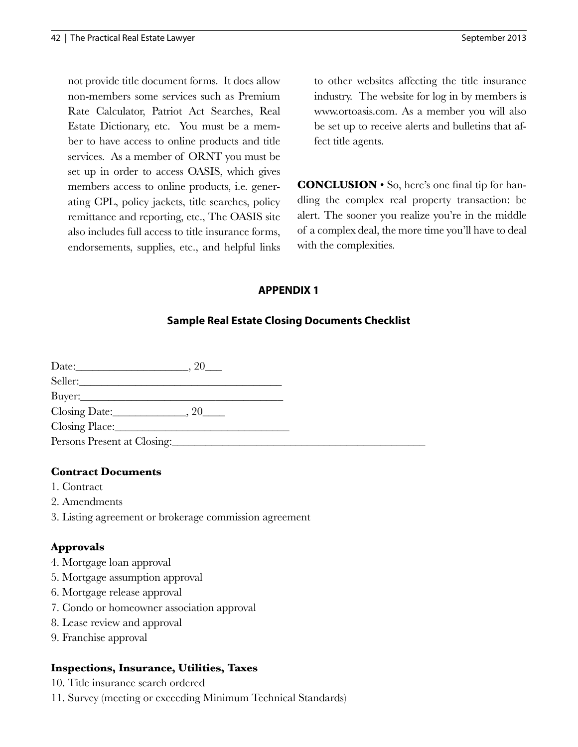not provide title document forms. It does allow non-members some services such as Premium Rate Calculator, Patriot Act Searches, Real Estate Dictionary, etc. You must be a member to have access to online products and title services. As a member of ORNT you must be set up in order to access OASIS, which gives members access to online products, i.e. generating CPL, policy jackets, title searches, policy remittance and reporting, etc., The OASIS site also includes full access to title insurance forms, endorsements, supplies, etc., and helpful links to other websites affecting the title insurance industry. The website for log in by members is www.ortoasis.com. As a member you will also be set up to receive alerts and bulletins that affect title agents.

**CONCLUSION** • So, here's one final tip for handling the complex real property transaction: be alert. The sooner you realize you're in the middle of a complex deal, the more time you'll have to deal with the complexities.

## **APPENDIX 1**

## **Sample Real Estate Closing Documents Checklist**

| Persons Present at Closing: |  |
|-----------------------------|--|

#### **Contract Documents**

- 1. Contract
- 2. Amendments
- 3. Listing agreement or brokerage commission agreement

#### **Approvals**

- 4. Mortgage loan approval
- 5. Mortgage assumption approval
- 6. Mortgage release approval
- 7. Condo or homeowner association approval
- 8. Lease review and approval
- 9. Franchise approval

#### **Inspections, Insurance, Utilities, Taxes**

- 10. Title insurance search ordered
- 11. Survey (meeting or exceeding Minimum Technical Standards)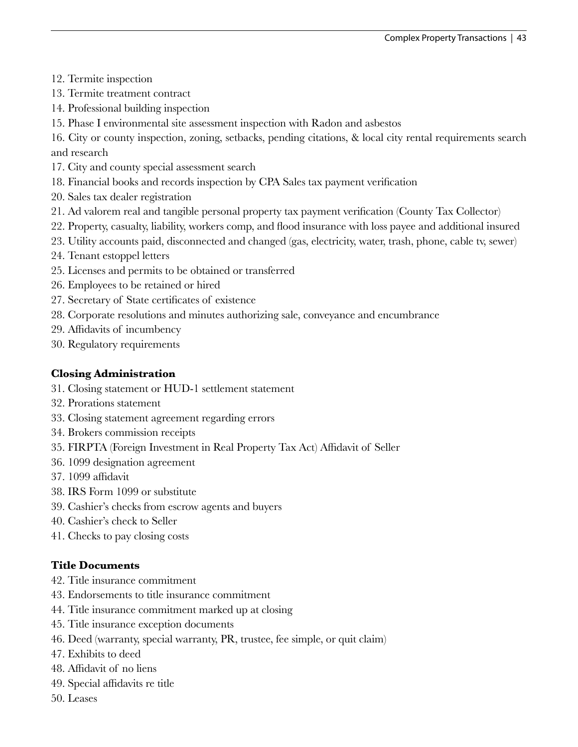- 12. Termite inspection
- 13. Termite treatment contract
- 14. Professional building inspection
- 15. Phase I environmental site assessment inspection with Radon and asbestos
- 16. City or county inspection, zoning, setbacks, pending citations, & local city rental requirements search and research
- 17. City and county special assessment search
- 18. Financial books and records inspection by CPA Sales tax payment verification
- 20. Sales tax dealer registration
- 21. Ad valorem real and tangible personal property tax payment verification (County Tax Collector)
- 22. Property, casualty, liability, workers comp, and flood insurance with loss payee and additional insured
- 23. Utility accounts paid, disconnected and changed (gas, electricity, water, trash, phone, cable tv, sewer)
- 24. Tenant estoppel letters
- 25. Licenses and permits to be obtained or transferred
- 26. Employees to be retained or hired
- 27. Secretary of State certificates of existence
- 28. Corporate resolutions and minutes authorizing sale, conveyance and encumbrance
- 29. Affidavits of incumbency
- 30. Regulatory requirements

#### **Closing Administration**

- 31. Closing statement or HUD-1 settlement statement
- 32. Prorations statement
- 33. Closing statement agreement regarding errors
- 34. Brokers commission receipts
- 35. FIRPTA (Foreign Investment in Real Property Tax Act) Affidavit of Seller
- 36. 1099 designation agreement
- 37. 1099 affidavit
- 38. IRS Form 1099 or substitute
- 39. Cashier's checks from escrow agents and buyers
- 40. Cashier's check to Seller
- 41. Checks to pay closing costs

#### **Title Documents**

- 42. Title insurance commitment
- 43. Endorsements to title insurance commitment
- 44. Title insurance commitment marked up at closing
- 45. Title insurance exception documents
- 46. Deed (warranty, special warranty, PR, trustee, fee simple, or quit claim)
- 47. Exhibits to deed
- 48. Affidavit of no liens
- 49. Special affidavits re title
- 50. Leases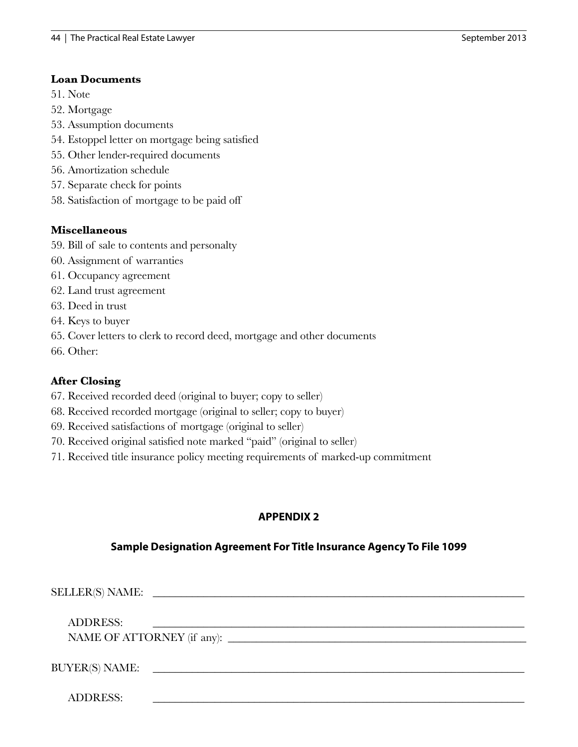#### **Loan Documents**

51. Note

- 52. Mortgage
- 53. Assumption documents
- 54. Estoppel letter on mortgage being satisfied
- 55. Other lender-required documents
- 56. Amortization schedule
- 57. Separate check for points
- 58. Satisfaction of mortgage to be paid off

#### **Miscellaneous**

- 59. Bill of sale to contents and personalty
- 60. Assignment of warranties
- 61. Occupancy agreement
- 62. Land trust agreement
- 63. Deed in trust
- 64. Keys to buyer
- 65. Cover letters to clerk to record deed, mortgage and other documents
- 66. Other:

#### **After Closing**

- 67. Received recorded deed (original to buyer; copy to seller)
- 68. Received recorded mortgage (original to seller; copy to buyer)
- 69. Received satisfactions of mortgage (original to seller)
- 70. Received original satisfied note marked "paid" (original to seller)
- 71. Received title insurance policy meeting requirements of marked-up commitment

## **APPENDIX 2**

#### **Sample Designation Agreement For Title Insurance Agency To File 1099**

| <b>ADDRESS:</b>       |                                                                                                                      |
|-----------------------|----------------------------------------------------------------------------------------------------------------------|
|                       |                                                                                                                      |
|                       |                                                                                                                      |
| <b>BUYER(S) NAME:</b> | <u> 1980 - Andrea Station, amerikan basal pada sebagai personal personal personal personal personal personal per</u> |
|                       |                                                                                                                      |
| <b>ADDRESS:</b>       |                                                                                                                      |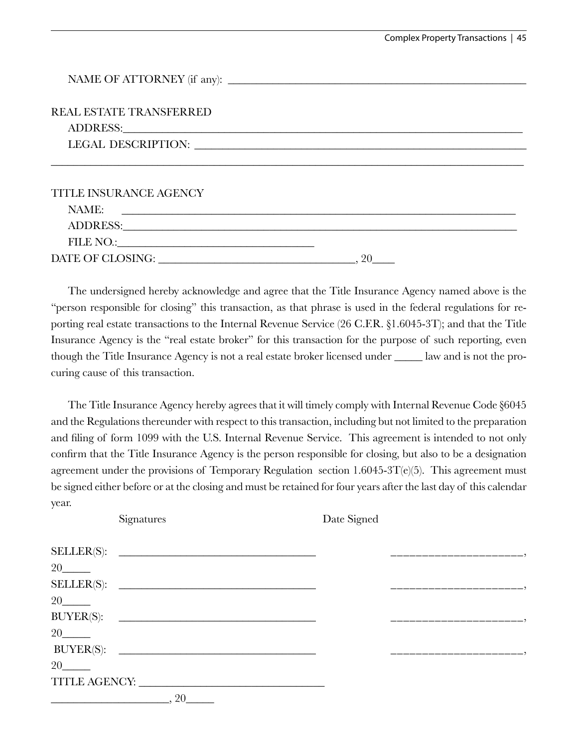| <b>REAL ESTATE TRANSFERRED</b>                                                                                                                                                                                                 |  |
|--------------------------------------------------------------------------------------------------------------------------------------------------------------------------------------------------------------------------------|--|
|                                                                                                                                                                                                                                |  |
|                                                                                                                                                                                                                                |  |
| <b>TITLE INSURANCE AGENCY</b>                                                                                                                                                                                                  |  |
| NAME:<br><u> 1980 - Jan Alexandria (h. 1980).</u>                                                                                                                                                                              |  |
| ADDRESS: And The Contract of the Contract of the Contract of the Contract of the Contract of the Contract of the Contract of the Contract of the Contract of the Contract of the Contract of the Contract of the Contract of t |  |
|                                                                                                                                                                                                                                |  |
| DATE OF CLOSING: NAME OF CLOSING:                                                                                                                                                                                              |  |

The undersigned hereby acknowledge and agree that the Title Insurance Agency named above is the "person responsible for closing" this transaction, as that phrase is used in the federal regulations for reporting real estate transactions to the Internal Revenue Service (26 C.F.R. §1.6045-3T); and that the Title Insurance Agency is the "real estate broker" for this transaction for the purpose of such reporting, even though the Title Insurance Agency is not a real estate broker licensed under \_\_\_\_\_ law and is not the procuring cause of this transaction.

The Title Insurance Agency hereby agrees that it will timely comply with Internal Revenue Code §6045 and the Regulations thereunder with respect to this transaction, including but not limited to the preparation and filing of form 1099 with the U.S. Internal Revenue Service. This agreement is intended to not only confirm that the Title Insurance Agency is the person responsible for closing, but also to be a designation agreement under the provisions of Temporary Regulation section 1.6045-3T $(e)(5)$ . This agreement must be signed either before or at the closing and must be retained for four years after the last day of this calendar year.

|                  | Signatures     | Date Signed |  |
|------------------|----------------|-------------|--|
|                  |                |             |  |
| 20               |                |             |  |
|                  |                |             |  |
| 20               |                |             |  |
| <b>BUYER(S):</b> |                |             |  |
| 20               |                |             |  |
|                  | BUYER(S):      |             |  |
| 20               |                |             |  |
|                  |                |             |  |
|                  | $\frac{1}{20}$ |             |  |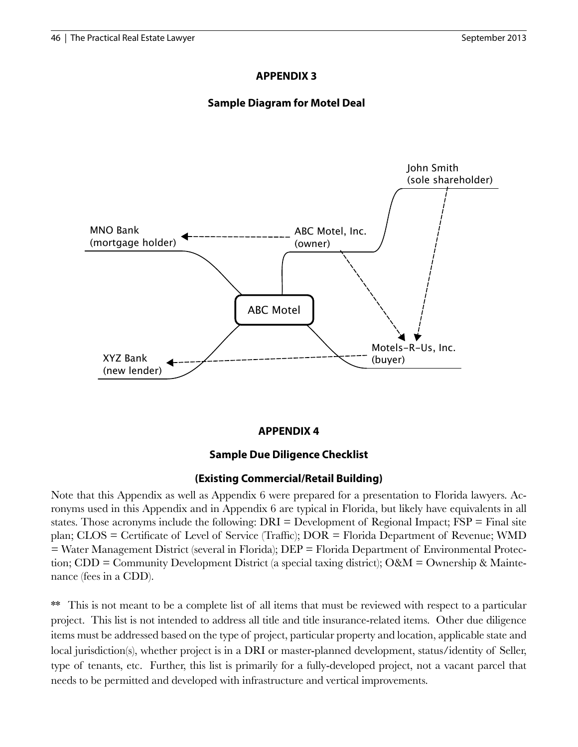### **APPENDIX 3**

## **Sample Diagram for Motel Deal**



## **APPENDIX 4**

## **Sample Due Diligence Checklist**

#### **(Existing Commercial/Retail Building)**

Note that this Appendix as well as Appendix 6 were prepared for a presentation to Florida lawyers. Acronyms used in this Appendix and in Appendix 6 are typical in Florida, but likely have equivalents in all states. Those acronyms include the following:  $DRI = Development$  of Regional Impact;  $FSP = Final$  site plan; CLOS = Certificate of Level of Service (Traffic); DOR = Florida Department of Revenue; WMD = Water Management District (several in Florida); DEP = Florida Department of Environmental Protection; CDD = Community Development District (a special taxing district); O&M = Ownership & Maintenance (fees in a CDD).

This is not meant to be a complete list of all items that must be reviewed with respect to a particular project. This list is not intended to address all title and title insurance-related items. Other due diligence items must be addressed based on the type of project, particular property and location, applicable state and local jurisdiction(s), whether project is in a DRI or master-planned development, status/identity of Seller, type of tenants, etc. Further, this list is primarily for a fully-developed project, not a vacant parcel that needs to be permitted and developed with infrastructure and vertical improvements.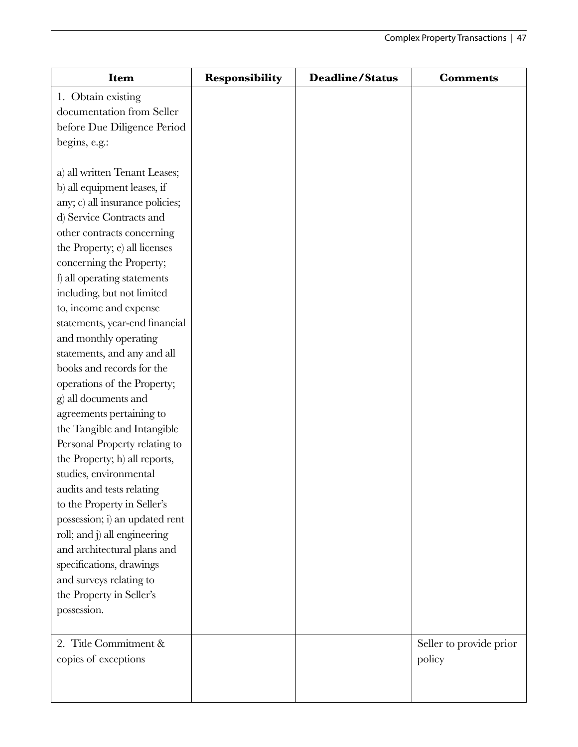| <b>Item</b>                     | Responsibility | <b>Deadline/Status</b> | <b>Comments</b>         |
|---------------------------------|----------------|------------------------|-------------------------|
| 1. Obtain existing              |                |                        |                         |
| documentation from Seller       |                |                        |                         |
| before Due Diligence Period     |                |                        |                         |
| begins, e.g.:                   |                |                        |                         |
|                                 |                |                        |                         |
| a) all written Tenant Leases;   |                |                        |                         |
| b) all equipment leases, if     |                |                        |                         |
| any; c) all insurance policies; |                |                        |                         |
| d) Service Contracts and        |                |                        |                         |
| other contracts concerning      |                |                        |                         |
| the Property; e) all licenses   |                |                        |                         |
| concerning the Property;        |                |                        |                         |
| f) all operating statements     |                |                        |                         |
| including, but not limited      |                |                        |                         |
| to, income and expense          |                |                        |                         |
| statements, year-end financial  |                |                        |                         |
| and monthly operating           |                |                        |                         |
| statements, and any and all     |                |                        |                         |
| books and records for the       |                |                        |                         |
| operations of the Property;     |                |                        |                         |
| g) all documents and            |                |                        |                         |
| agreements pertaining to        |                |                        |                         |
| the Tangible and Intangible     |                |                        |                         |
| Personal Property relating to   |                |                        |                         |
| the Property; h) all reports,   |                |                        |                         |
| studies, environmental          |                |                        |                         |
| audits and tests relating       |                |                        |                         |
| to the Property in Seller's     |                |                        |                         |
| possession; i) an updated rent  |                |                        |                         |
| roll; and j) all engineering    |                |                        |                         |
| and architectural plans and     |                |                        |                         |
| specifications, drawings        |                |                        |                         |
| and surveys relating to         |                |                        |                         |
| the Property in Seller's        |                |                        |                         |
| possession.                     |                |                        |                         |
| 2. Title Commitment &           |                |                        | Seller to provide prior |
| copies of exceptions            |                |                        | policy                  |
|                                 |                |                        |                         |
|                                 |                |                        |                         |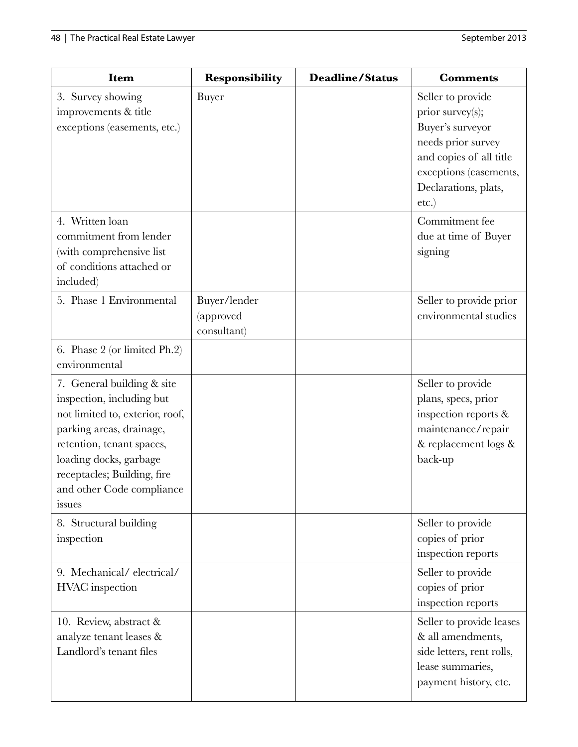| <b>Item</b>                                                                                                                                                                                                                                         | Responsibility                           | <b>Deadline/Status</b> | <b>Comments</b>                                                                                                                                                          |
|-----------------------------------------------------------------------------------------------------------------------------------------------------------------------------------------------------------------------------------------------------|------------------------------------------|------------------------|--------------------------------------------------------------------------------------------------------------------------------------------------------------------------|
| 3. Survey showing<br>improvements & title<br>exceptions (easements, etc.)                                                                                                                                                                           | Buyer                                    |                        | Seller to provide<br>prior survey(s);<br>Buyer's surveyor<br>needs prior survey<br>and copies of all title<br>exceptions (easements,<br>Declarations, plats,<br>$etc.$ ) |
| 4. Written loan<br>commitment from lender<br>(with comprehensive list<br>of conditions attached or<br>included)                                                                                                                                     |                                          |                        | Commitment fee<br>due at time of Buyer<br>signing                                                                                                                        |
| 5. Phase 1 Environmental                                                                                                                                                                                                                            | Buyer/lender<br>(approved<br>consultant) |                        | Seller to provide prior<br>environmental studies                                                                                                                         |
| 6. Phase 2 (or limited Ph.2)<br>environmental                                                                                                                                                                                                       |                                          |                        |                                                                                                                                                                          |
| 7. General building & site<br>inspection, including but<br>not limited to, exterior, roof,<br>parking areas, drainage,<br>retention, tenant spaces,<br>loading docks, garbage<br>receptacles; Building, fire<br>and other Code compliance<br>issues |                                          |                        | Seller to provide<br>plans, specs, prior<br>inspection reports &<br>maintenance/repair<br>& replacement logs &<br>back-up                                                |
| 8. Structural building<br>inspection                                                                                                                                                                                                                |                                          |                        | Seller to provide<br>copies of prior<br>inspection reports                                                                                                               |
| 9. Mechanical/electrical/<br>HVAC inspection                                                                                                                                                                                                        |                                          |                        | Seller to provide<br>copies of prior<br>inspection reports                                                                                                               |
| 10. Review, abstract &<br>analyze tenant leases &<br>Landlord's tenant files                                                                                                                                                                        |                                          |                        | Seller to provide leases<br>& all amendments,<br>side letters, rent rolls,<br>lease summaries,<br>payment history, etc.                                                  |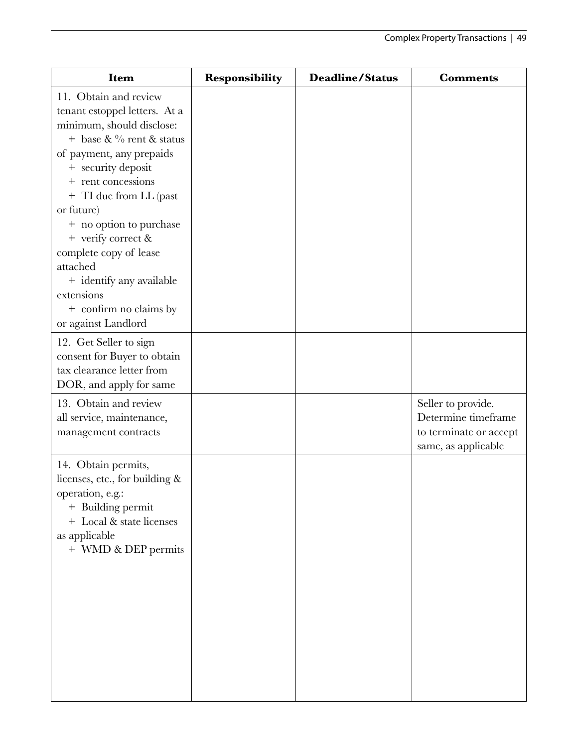| <b>Item</b>                                                                                                                                                                                                                                                                                                                                                                                                          | <b>Responsibility</b> | <b>Deadline/Status</b> | <b>Comments</b>                                                                            |
|----------------------------------------------------------------------------------------------------------------------------------------------------------------------------------------------------------------------------------------------------------------------------------------------------------------------------------------------------------------------------------------------------------------------|-----------------------|------------------------|--------------------------------------------------------------------------------------------|
| 11. Obtain and review<br>tenant estoppel letters. At a<br>minimum, should disclose:<br>+ base & $\%$ rent & status<br>of payment, any prepaids<br>+ security deposit<br>+ rent concessions<br>+ TI due from LL (past<br>or future)<br>+ no option to purchase<br>+ verify correct &<br>complete copy of lease<br>attached<br>+ identify any available<br>extensions<br>+ confirm no claims by<br>or against Landlord |                       |                        |                                                                                            |
| 12. Get Seller to sign<br>consent for Buyer to obtain<br>tax clearance letter from<br>DOR, and apply for same                                                                                                                                                                                                                                                                                                        |                       |                        |                                                                                            |
| 13. Obtain and review<br>all service, maintenance,<br>management contracts                                                                                                                                                                                                                                                                                                                                           |                       |                        | Seller to provide.<br>Determine timeframe<br>to terminate or accept<br>same, as applicable |
| 14. Obtain permits,<br>licenses, etc., for building &<br>operation, e.g.:<br>+ Building permit<br>+ Local & state licenses<br>as applicable<br>+ WMD & DEP permits                                                                                                                                                                                                                                                   |                       |                        |                                                                                            |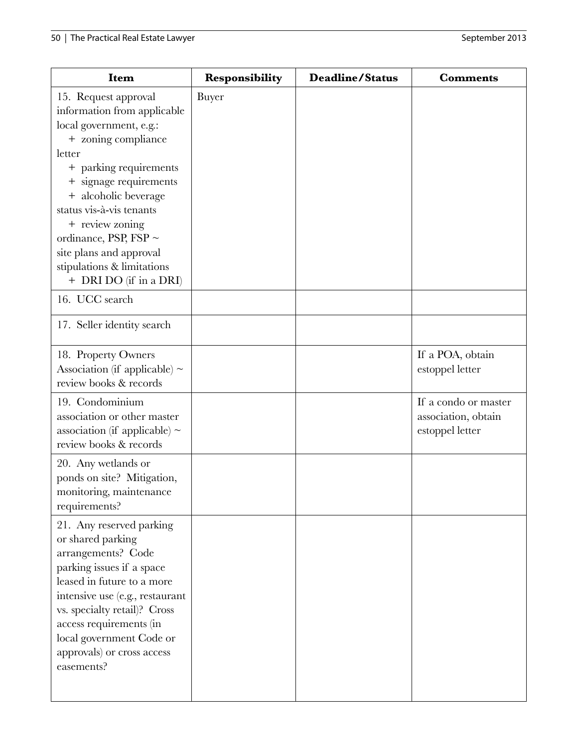| Item                                                                                                                                                                                                                                                                                                                                                        | <b>Responsibility</b> | <b>Deadline/Status</b> | <b>Comments</b>                                                |
|-------------------------------------------------------------------------------------------------------------------------------------------------------------------------------------------------------------------------------------------------------------------------------------------------------------------------------------------------------------|-----------------------|------------------------|----------------------------------------------------------------|
| 15. Request approval<br>information from applicable<br>local government, e.g.:<br>+ zoning compliance<br>letter<br>+ parking requirements<br>+ signage requirements<br>+ alcoholic beverage<br>status vis-à-vis tenants<br>+ review zoning<br>ordinance, PSP, FSP $\sim$<br>site plans and approval<br>stipulations & limitations<br>+ DRI DO (if in a DRI) | Buyer                 |                        |                                                                |
| 16. UCC search                                                                                                                                                                                                                                                                                                                                              |                       |                        |                                                                |
| 17. Seller identity search                                                                                                                                                                                                                                                                                                                                  |                       |                        |                                                                |
| 18. Property Owners<br>Association (if applicable) $\sim$<br>review books & records                                                                                                                                                                                                                                                                         |                       |                        | If a POA, obtain<br>estoppel letter                            |
| 19. Condominium<br>association or other master<br>association (if applicable) $\sim$<br>review books & records                                                                                                                                                                                                                                              |                       |                        | If a condo or master<br>association, obtain<br>estoppel letter |
| 20. Any wetlands or<br>ponds on site? Mitigation,<br>monitoring, maintenance<br>requirements?                                                                                                                                                                                                                                                               |                       |                        |                                                                |
| 21. Any reserved parking<br>or shared parking<br>arrangements? Code<br>parking issues if a space<br>leased in future to a more<br>intensive use (e.g., restaurant<br>vs. specialty retail)? Cross<br>access requirements (in<br>local government Code or<br>approvals) or cross access<br>easements?                                                        |                       |                        |                                                                |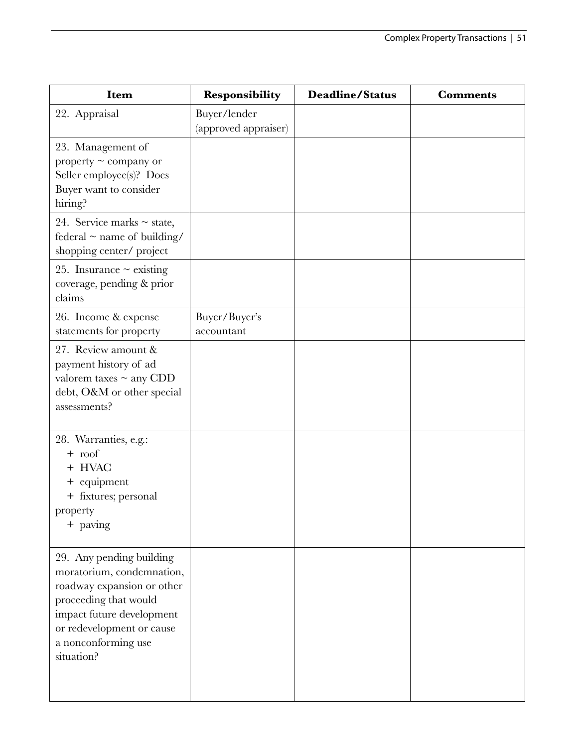| Item                                                                                                                                                                                                        | Responsibility                       | <b>Deadline/Status</b> | <b>Comments</b> |
|-------------------------------------------------------------------------------------------------------------------------------------------------------------------------------------------------------------|--------------------------------------|------------------------|-----------------|
| 22. Appraisal                                                                                                                                                                                               | Buyer/lender<br>(approved appraiser) |                        |                 |
| 23. Management of<br>property $\sim$ company or<br>Seller employee(s)? Does<br>Buyer want to consider<br>hiring?                                                                                            |                                      |                        |                 |
| 24. Service marks $\sim$ state,<br>federal $\sim$ name of building/<br>shopping center/ project                                                                                                             |                                      |                        |                 |
| 25. Insurance $\sim$ existing<br>coverage, pending & prior<br>claims                                                                                                                                        |                                      |                        |                 |
| 26. Income & expense<br>statements for property                                                                                                                                                             | Buyer/Buyer's<br>accountant          |                        |                 |
| 27. Review amount &<br>payment history of ad<br>valorem taxes $\sim$ any CDD<br>debt, O&M or other special<br>assessments?                                                                                  |                                      |                        |                 |
| 28. Warranties, e.g.:<br>$+$ roof<br>+ HVAC<br>+ equipment<br>+ fixtures; personal<br>property<br>+ paving                                                                                                  |                                      |                        |                 |
| 29. Any pending building<br>moratorium, condemnation,<br>roadway expansion or other<br>proceeding that would<br>impact future development<br>or redevelopment or cause<br>a nonconforming use<br>situation? |                                      |                        |                 |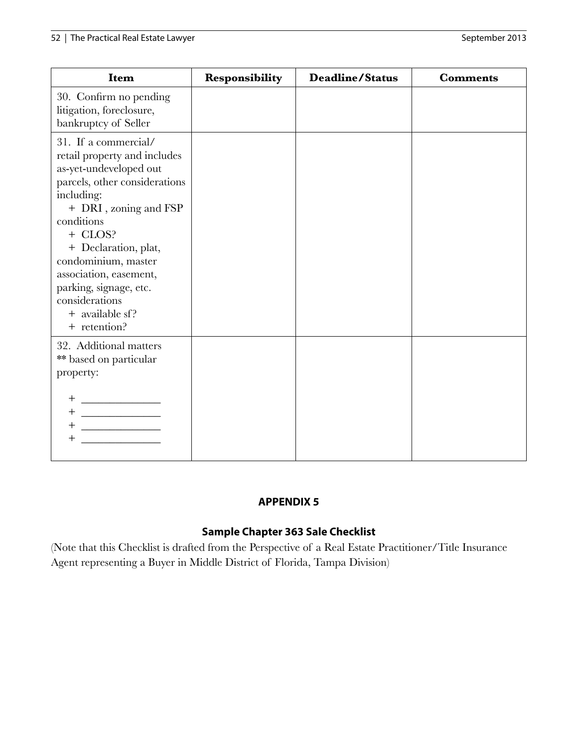| Item                                                                                                                                                                                                                                                                                                                                    | <b>Responsibility</b> | <b>Deadline/Status</b> | <b>Comments</b> |
|-----------------------------------------------------------------------------------------------------------------------------------------------------------------------------------------------------------------------------------------------------------------------------------------------------------------------------------------|-----------------------|------------------------|-----------------|
| 30. Confirm no pending<br>litigation, foreclosure,<br>bankruptcy of Seller                                                                                                                                                                                                                                                              |                       |                        |                 |
| 31. If a commercial/<br>retail property and includes<br>as-yet-undeveloped out<br>parcels, other considerations<br>including:<br>+ DRI, zoning and FSP<br>conditions<br>+ CLOS?<br>+ Declaration, plat,<br>condominium, master<br>association, easement,<br>parking, signage, etc.<br>considerations<br>+ available sf?<br>+ retention? |                       |                        |                 |
| 32. Additional matters<br>** based on particular<br>property:<br>$+$                                                                                                                                                                                                                                                                    |                       |                        |                 |

## **APPENDIX 5**

## **Sample Chapter 363 Sale Checklist**

(Note that this Checklist is drafted from the Perspective of a Real Estate Practitioner/Title Insurance Agent representing a Buyer in Middle District of Florida, Tampa Division)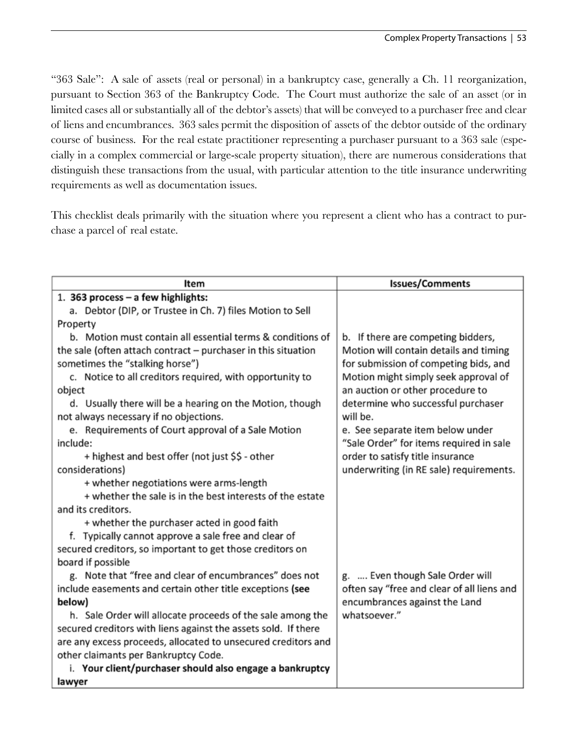"363 Sale": A sale of assets (real or personal) in a bankruptcy case, generally a Ch. 11 reorganization, pursuant to Section 363 of the Bankruptcy Code. The Court must authorize the sale of an asset (or in limited cases all or substantially all of the debtor's assets) that will be conveyed to a purchaser free and clear of liens and encumbrances. 363 sales permit the disposition of assets of the debtor outside of the ordinary course of business. For the real estate practitioner representing a purchaser pursuant to a 363 sale (especially in a complex commercial or large-scale property situation), there are numerous considerations that distinguish these transactions from the usual, with particular attention to the title insurance underwriting requirements as well as documentation issues.

This checklist deals primarily with the situation where you represent a client who has a contract to purchase a parcel of real estate.

| Item                                                            | <b>Issues/Comments</b>                     |
|-----------------------------------------------------------------|--------------------------------------------|
| 1. 363 process - a few highlights:                              |                                            |
| a. Debtor (DIP, or Trustee in Ch. 7) files Motion to Sell       |                                            |
| Property                                                        |                                            |
| b. Motion must contain all essential terms & conditions of      | b. If there are competing bidders,         |
| the sale (often attach contract $-$ purchaser in this situation | Motion will contain details and timing     |
| sometimes the "stalking horse")                                 | for submission of competing bids, and      |
| c. Notice to all creditors required, with opportunity to        | Motion might simply seek approval of       |
| object                                                          | an auction or other procedure to           |
| d. Usually there will be a hearing on the Motion, though        | determine who successful purchaser         |
| not always necessary if no objections.                          | will be.                                   |
| e. Requirements of Court approval of a Sale Motion              | e. See separate item below under           |
| include:                                                        | "Sale Order" for items required in sale    |
| + highest and best offer (not just \$\$ - other                 | order to satisfy title insurance           |
| considerations)                                                 | underwriting (in RE sale) requirements.    |
| + whether negotiations were arms-length                         |                                            |
| + whether the sale is in the best interests of the estate       |                                            |
| and its creditors.                                              |                                            |
| + whether the purchaser acted in good faith                     |                                            |
| f. Typically cannot approve a sale free and clear of            |                                            |
| secured creditors, so important to get those creditors on       |                                            |
| board if possible                                               |                                            |
| g. Note that "free and clear of encumbrances" does not          | g.  Even though Sale Order will            |
| include easements and certain other title exceptions (see       | often say "free and clear of all liens and |
| below)                                                          | encumbrances against the Land              |
| h. Sale Order will allocate proceeds of the sale among the      | whatsoever."                               |
| secured creditors with liens against the assets sold. If there  |                                            |
| are any excess proceeds, allocated to unsecured creditors and   |                                            |
| other claimants per Bankruptcy Code.                            |                                            |
| i. Your client/purchaser should also engage a bankruptcy        |                                            |
| lawyer                                                          |                                            |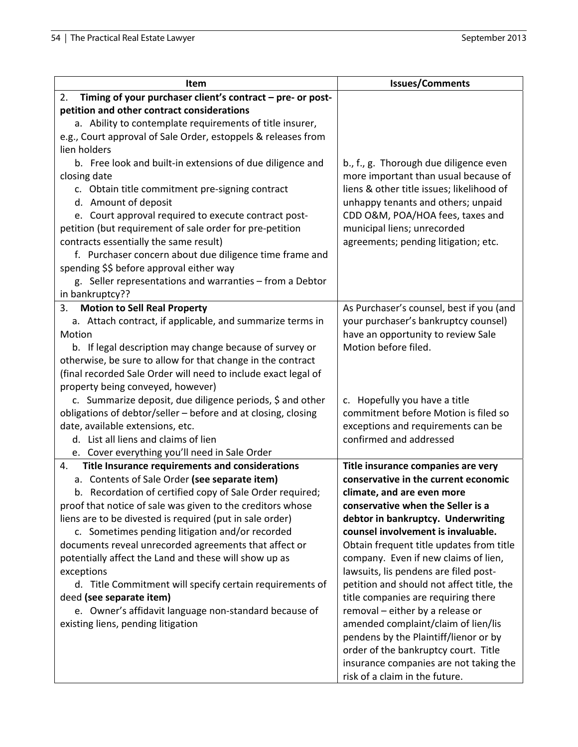| Item                                                                                                                       | <b>Issues/Comments</b>                                                |
|----------------------------------------------------------------------------------------------------------------------------|-----------------------------------------------------------------------|
| Timing of your purchaser client's contract - pre- or post-<br>2.                                                           |                                                                       |
| petition and other contract considerations                                                                                 |                                                                       |
| a. Ability to contemplate requirements of title insurer,                                                                   |                                                                       |
| e.g., Court approval of Sale Order, estoppels & releases from                                                              |                                                                       |
| lien holders                                                                                                               |                                                                       |
| b. Free look and built-in extensions of due diligence and                                                                  | b., f., g. Thorough due diligence even                                |
| closing date                                                                                                               | more important than usual because of                                  |
| c. Obtain title commitment pre-signing contract                                                                            | liens & other title issues; likelihood of                             |
| d. Amount of deposit                                                                                                       | unhappy tenants and others; unpaid                                    |
| e. Court approval required to execute contract post-                                                                       | CDD O&M, POA/HOA fees, taxes and                                      |
| petition (but requirement of sale order for pre-petition                                                                   | municipal liens; unrecorded                                           |
| contracts essentially the same result)                                                                                     | agreements; pending litigation; etc.                                  |
| f. Purchaser concern about due diligence time frame and                                                                    |                                                                       |
| spending \$\$ before approval either way                                                                                   |                                                                       |
| g. Seller representations and warranties - from a Debtor                                                                   |                                                                       |
| in bankruptcy??                                                                                                            |                                                                       |
| <b>Motion to Sell Real Property</b><br>3.                                                                                  | As Purchaser's counsel, best if you (and                              |
| a. Attach contract, if applicable, and summarize terms in                                                                  | your purchaser's bankruptcy counsel)                                  |
| Motion                                                                                                                     | have an opportunity to review Sale                                    |
| b. If legal description may change because of survey or                                                                    | Motion before filed.                                                  |
| otherwise, be sure to allow for that change in the contract                                                                |                                                                       |
| (final recorded Sale Order will need to include exact legal of                                                             |                                                                       |
| property being conveyed, however)                                                                                          |                                                                       |
| c. Summarize deposit, due diligence periods, \$ and other<br>obligations of debtor/seller - before and at closing, closing | c. Hopefully you have a title<br>commitment before Motion is filed so |
| date, available extensions, etc.                                                                                           | exceptions and requirements can be                                    |
| d. List all liens and claims of lien                                                                                       | confirmed and addressed                                               |
| e. Cover everything you'll need in Sale Order                                                                              |                                                                       |
| Title Insurance requirements and considerations<br>4.                                                                      | Title insurance companies are very                                    |
| a. Contents of Sale Order (see separate item)                                                                              | conservative in the current economic                                  |
| b. Recordation of certified copy of Sale Order required;                                                                   | climate, and are even more                                            |
| proof that notice of sale was given to the creditors whose                                                                 | conservative when the Seller is a                                     |
| liens are to be divested is required (put in sale order)                                                                   | debtor in bankruptcy. Underwriting                                    |
| c. Sometimes pending litigation and/or recorded                                                                            | counsel involvement is invaluable.                                    |
| documents reveal unrecorded agreements that affect or                                                                      | Obtain frequent title updates from title                              |
| potentially affect the Land and these will show up as                                                                      | company. Even if new claims of lien,                                  |
| exceptions                                                                                                                 | lawsuits, lis pendens are filed post-                                 |
| d. Title Commitment will specify certain requirements of                                                                   | petition and should not affect title, the                             |
| deed (see separate item)                                                                                                   | title companies are requiring there                                   |
| e. Owner's affidavit language non-standard because of                                                                      | removal - either by a release or                                      |
| existing liens, pending litigation                                                                                         | amended complaint/claim of lien/lis                                   |
|                                                                                                                            | pendens by the Plaintiff/lienor or by                                 |
|                                                                                                                            | order of the bankruptcy court. Title                                  |
|                                                                                                                            | insurance companies are not taking the                                |
|                                                                                                                            | risk of a claim in the future.                                        |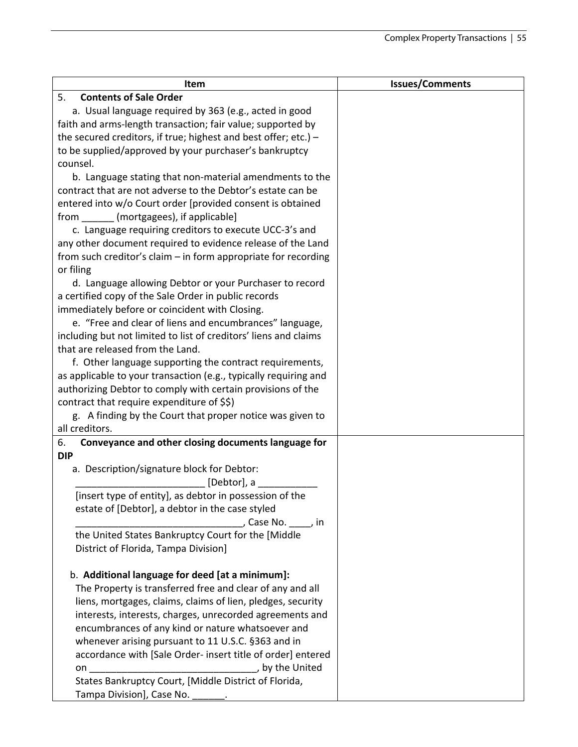| Item                                                              | <b>Issues/Comments</b> |
|-------------------------------------------------------------------|------------------------|
| <b>Contents of Sale Order</b><br>5.                               |                        |
| a. Usual language required by 363 (e.g., acted in good            |                        |
| faith and arms-length transaction; fair value; supported by       |                        |
| the secured creditors, if true; highest and best offer; etc.) $-$ |                        |
| to be supplied/approved by your purchaser's bankruptcy            |                        |
| counsel.                                                          |                        |
| b. Language stating that non-material amendments to the           |                        |
| contract that are not adverse to the Debtor's estate can be       |                        |
| entered into w/o Court order [provided consent is obtained        |                        |
| from _______ (mortgagees), if applicable]                         |                        |
| c. Language requiring creditors to execute UCC-3's and            |                        |
| any other document required to evidence release of the Land       |                        |
| from such creditor's claim - in form appropriate for recording    |                        |
| or filing                                                         |                        |
| d. Language allowing Debtor or your Purchaser to record           |                        |
| a certified copy of the Sale Order in public records              |                        |
| immediately before or coincident with Closing.                    |                        |
| e. "Free and clear of liens and encumbrances" language,           |                        |
| including but not limited to list of creditors' liens and claims  |                        |
| that are released from the Land.                                  |                        |
| f. Other language supporting the contract requirements,           |                        |
| as applicable to your transaction (e.g., typically requiring and  |                        |
| authorizing Debtor to comply with certain provisions of the       |                        |
| contract that require expenditure of \$\$)                        |                        |
| g. A finding by the Court that proper notice was given to         |                        |
| all creditors.                                                    |                        |
| Conveyance and other closing documents language for<br>6.         |                        |
| <b>DIP</b>                                                        |                        |
| a. Description/signature block for Debtor:                        |                        |
| [Debtor], a                                                       |                        |
| [insert type of entity], as debtor in possession of the           |                        |
| estate of [Debtor], a debtor in the case styled                   |                        |
| Case No. sall in                                                  |                        |
| the United States Bankruptcy Court for the [Middle                |                        |
| District of Florida, Tampa Division]                              |                        |
|                                                                   |                        |
| b. Additional language for deed [at a minimum]:                   |                        |
| The Property is transferred free and clear of any and all         |                        |
| liens, mortgages, claims, claims of lien, pledges, security       |                        |
| interests, interests, charges, unrecorded agreements and          |                        |
| encumbrances of any kind or nature whatsoever and                 |                        |
| whenever arising pursuant to 11 U.S.C. §363 and in                |                        |
| accordance with [Sale Order- insert title of order] entered       |                        |
|                                                                   |                        |
| States Bankruptcy Court, [Middle District of Florida,             |                        |
| Tampa Division], Case No. _______.                                |                        |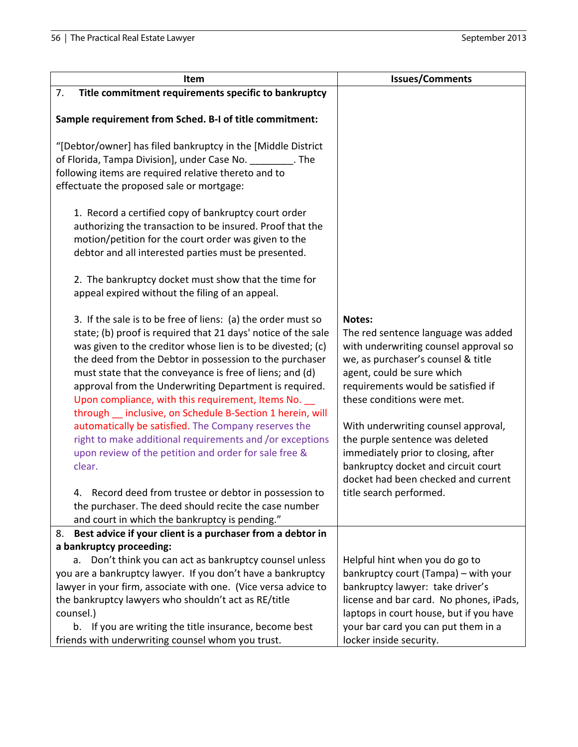| <b>Item</b>                                                                                                        | <b>Issues/Comments</b>                  |
|--------------------------------------------------------------------------------------------------------------------|-----------------------------------------|
| Title commitment requirements specific to bankruptcy<br>7.                                                         |                                         |
|                                                                                                                    |                                         |
| Sample requirement from Sched. B-I of title commitment:                                                            |                                         |
| "[Debtor/owner] has filed bankruptcy in the [Middle District                                                       |                                         |
| of Florida, Tampa Division], under Case No. 1996. The                                                              |                                         |
| following items are required relative thereto and to                                                               |                                         |
| effectuate the proposed sale or mortgage:                                                                          |                                         |
|                                                                                                                    |                                         |
| 1. Record a certified copy of bankruptcy court order                                                               |                                         |
| authorizing the transaction to be insured. Proof that the                                                          |                                         |
| motion/petition for the court order was given to the                                                               |                                         |
| debtor and all interested parties must be presented.                                                               |                                         |
| 2. The bankruptcy docket must show that the time for                                                               |                                         |
| appeal expired without the filing of an appeal.                                                                    |                                         |
|                                                                                                                    |                                         |
| 3. If the sale is to be free of liens: (a) the order must so                                                       | Notes:                                  |
| state; (b) proof is required that 21 days' notice of the sale                                                      | The red sentence language was added     |
| was given to the creditor whose lien is to be divested; (c)                                                        | with underwriting counsel approval so   |
| the deed from the Debtor in possession to the purchaser                                                            | we, as purchaser's counsel & title      |
| must state that the conveyance is free of liens; and (d)                                                           | agent, could be sure which              |
| approval from the Underwriting Department is required.                                                             | requirements would be satisfied if      |
| Upon compliance, with this requirement, Items No. __<br>through __ inclusive, on Schedule B-Section 1 herein, will | these conditions were met.              |
| automatically be satisfied. The Company reserves the                                                               | With underwriting counsel approval,     |
| right to make additional requirements and /or exceptions                                                           | the purple sentence was deleted         |
| upon review of the petition and order for sale free &                                                              | immediately prior to closing, after     |
| clear.                                                                                                             | bankruptcy docket and circuit court     |
|                                                                                                                    | docket had been checked and current     |
| 4. Record deed from trustee or debtor in possession to                                                             | title search performed.                 |
| the purchaser. The deed should recite the case number                                                              |                                         |
| and court in which the bankruptcy is pending."                                                                     |                                         |
| Best advice if your client is a purchaser from a debtor in<br>8.                                                   |                                         |
| a bankruptcy proceeding:<br>a. Don't think you can act as bankruptcy counsel unless                                | Helpful hint when you do go to          |
| you are a bankruptcy lawyer. If you don't have a bankruptcy                                                        | bankruptcy court (Tampa) – with your    |
| lawyer in your firm, associate with one. (Vice versa advice to                                                     | bankruptcy lawyer: take driver's        |
| the bankruptcy lawyers who shouldn't act as RE/title                                                               | license and bar card. No phones, iPads, |
| counsel.)                                                                                                          | laptops in court house, but if you have |
| b. If you are writing the title insurance, become best                                                             | your bar card you can put them in a     |
| friends with underwriting counsel whom you trust.                                                                  | locker inside security.                 |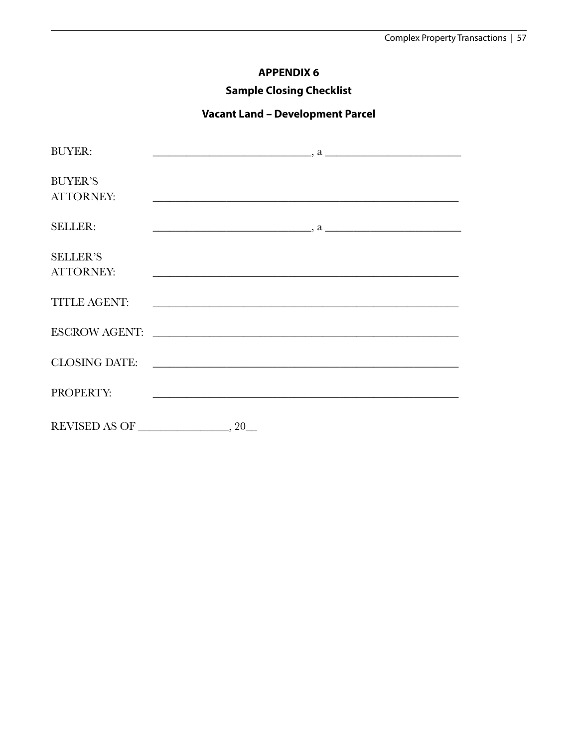# **APPENDIX 6**

# **Sample Closing Checklist**

# **Vacant Land – Development Parcel**

| <b>BUYER:</b>                       | $\overline{\phantom{a}}$ , a $\overline{\phantom{a}}$                                                                  |
|-------------------------------------|------------------------------------------------------------------------------------------------------------------------|
| <b>BUYER'S</b><br><b>ATTORNEY:</b>  | <u> 1990 - Jan James James James James James James James James James James James James James James James James J</u>   |
| <b>SELLER:</b>                      | $\sim$ $a$                                                                                                             |
| <b>SELLER'S</b><br><b>ATTORNEY:</b> | <u> 1989 - Johann Barn, mars ann an t-Amhain ann an t-Amhain ann an t-Amhain ann an t-Amhain an t-Amhain ann an t-</u> |
| <b>TITLE AGENT:</b>                 |                                                                                                                        |
|                                     |                                                                                                                        |
|                                     |                                                                                                                        |
| PROPERTY:                           | <u> 1989 - Johann Barbara, martxa alemaniar argumento este alemaniar alemaniar alemaniar alemaniar alemaniar al</u>    |
|                                     | REVISED AS OF $\_\_\_\_\_\$ , 20 $\_\_\_\$                                                                             |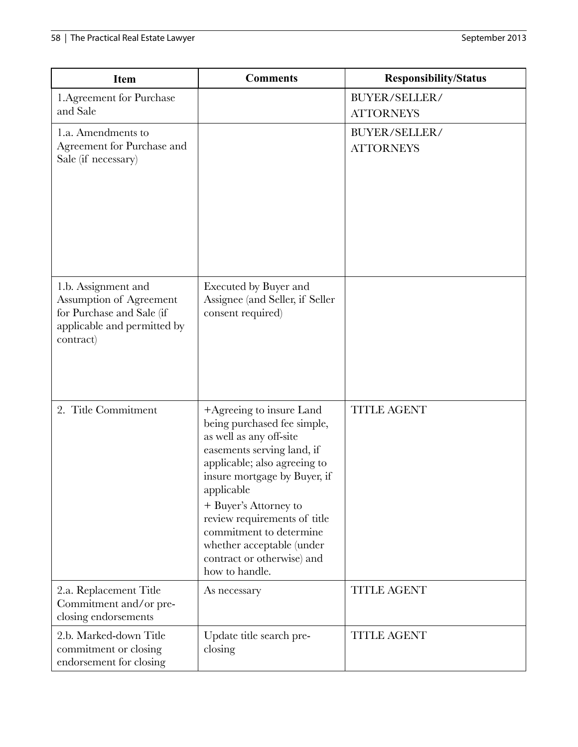| <b>Item</b>                                                                                                             | <b>Comments</b>                                                                                                                                                                                                                                                                                                                                                 | <b>Responsibility/Status</b>      |
|-------------------------------------------------------------------------------------------------------------------------|-----------------------------------------------------------------------------------------------------------------------------------------------------------------------------------------------------------------------------------------------------------------------------------------------------------------------------------------------------------------|-----------------------------------|
| 1. Agreement for Purchase<br>and Sale                                                                                   |                                                                                                                                                                                                                                                                                                                                                                 | BUYER/SELLER/<br><b>ATTORNEYS</b> |
| 1.a. Amendments to<br>Agreement for Purchase and<br>Sale (if necessary)                                                 |                                                                                                                                                                                                                                                                                                                                                                 | BUYER/SELLER/<br><b>ATTORNEYS</b> |
| 1.b. Assignment and<br>Assumption of Agreement<br>for Purchase and Sale (if<br>applicable and permitted by<br>contract) | <b>Executed by Buyer and</b><br>Assignee (and Seller, if Seller<br>consent required)                                                                                                                                                                                                                                                                            |                                   |
| 2. Title Commitment                                                                                                     | +Agreeing to insure Land<br>being purchased fee simple,<br>as well as any off-site<br>easements serving land, if<br>applicable; also agreeing to<br>insure mortgage by Buyer, if<br>applicable<br>+ Buyer's Attorney to<br>review requirements of title<br>commitment to determine<br>whether acceptable (under<br>contract or otherwise) and<br>how to handle. | <b>TITLE AGENT</b>                |
| 2.a. Replacement Title<br>Commitment and/or pre-<br>closing endorsements                                                | As necessary                                                                                                                                                                                                                                                                                                                                                    | <b>TITLE AGENT</b>                |
| 2.b. Marked-down Title<br>commitment or closing<br>endorsement for closing                                              | Update title search pre-<br>closing                                                                                                                                                                                                                                                                                                                             | <b>TITLE AGENT</b>                |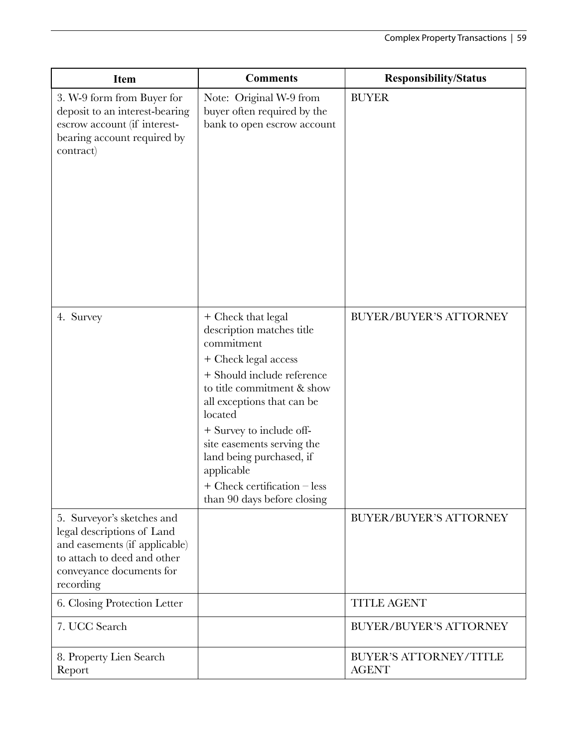| <b>Item</b>                                                                                                                                                       | <b>Comments</b>                                                                                                                                                                                                                                                                                                                                                                 | <b>Responsibility/Status</b>                  |
|-------------------------------------------------------------------------------------------------------------------------------------------------------------------|---------------------------------------------------------------------------------------------------------------------------------------------------------------------------------------------------------------------------------------------------------------------------------------------------------------------------------------------------------------------------------|-----------------------------------------------|
| 3. W-9 form from Buyer for<br>deposit to an interest-bearing<br>escrow account (if interest-<br>bearing account required by<br>contract)                          | Note: Original W-9 from<br>buyer often required by the<br>bank to open escrow account                                                                                                                                                                                                                                                                                           | <b>BUYER</b>                                  |
| 4. Survey                                                                                                                                                         | + Check that legal<br>description matches title<br>commitment<br>+ Check legal access<br>+ Should include reference<br>to title commitment & show<br>all exceptions that can be<br>located<br>+ Survey to include off-<br>site easements serving the<br>land being purchased, if<br>applicable<br>$+$ Check certification $-\operatorname{less}$<br>than 90 days before closing | <b>BUYER/BUYER'S ATTORNEY</b>                 |
| 5. Surveyor's sketches and<br>legal descriptions of Land<br>and easements (if applicable)<br>to attach to deed and other<br>conveyance documents for<br>recording |                                                                                                                                                                                                                                                                                                                                                                                 | <b>BUYER/BUYER'S ATTORNEY</b>                 |
| 6. Closing Protection Letter                                                                                                                                      |                                                                                                                                                                                                                                                                                                                                                                                 | <b>TITLE AGENT</b>                            |
| 7. UCC Search                                                                                                                                                     |                                                                                                                                                                                                                                                                                                                                                                                 | <b>BUYER/BUYER'S ATTORNEY</b>                 |
| 8. Property Lien Search<br>Report                                                                                                                                 |                                                                                                                                                                                                                                                                                                                                                                                 | <b>BUYER'S ATTORNEY/TITLE</b><br><b>AGENT</b> |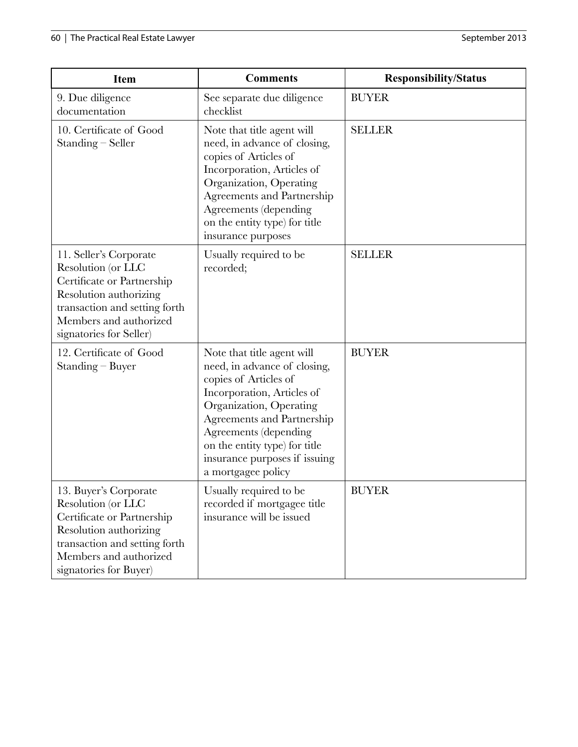| <b>Item</b>                                                                                                                                                                                | <b>Comments</b>                                                                                                                                                                                                                                                                             | <b>Responsibility/Status</b> |
|--------------------------------------------------------------------------------------------------------------------------------------------------------------------------------------------|---------------------------------------------------------------------------------------------------------------------------------------------------------------------------------------------------------------------------------------------------------------------------------------------|------------------------------|
| 9. Due diligence<br>documentation                                                                                                                                                          | See separate due diligence<br>checklist                                                                                                                                                                                                                                                     | <b>BUYER</b>                 |
| 10. Certificate of Good<br>Standing - Seller                                                                                                                                               | Note that title agent will<br>need, in advance of closing,<br>copies of Articles of<br>Incorporation, Articles of<br>Organization, Operating<br>Agreements and Partnership<br><b>Agreements</b> (depending<br>on the entity type) for title<br>insurance purposes                           | <b>SELLER</b>                |
| 11. Seller's Corporate<br>Resolution (or LLC<br>Certificate or Partnership<br>Resolution authorizing<br>transaction and setting forth<br>Members and authorized<br>signatories for Seller) | Usually required to be<br>recorded;                                                                                                                                                                                                                                                         | <b>SELLER</b>                |
| 12. Certificate of Good<br>$Standing - Buyer$                                                                                                                                              | Note that title agent will<br>need, in advance of closing,<br>copies of Articles of<br>Incorporation, Articles of<br>Organization, Operating<br>Agreements and Partnership<br>Agreements (depending<br>on the entity type) for title<br>insurance purposes if issuing<br>a mortgagee policy | <b>BUYER</b>                 |
| 13. Buyer's Corporate<br>Resolution (or LLC<br>Certificate or Partnership<br>Resolution authorizing<br>transaction and setting forth<br>Members and authorized<br>signatories for Buyer)   | Usually required to be<br>recorded if mortgagee title<br>insurance will be issued                                                                                                                                                                                                           | <b>BUYER</b>                 |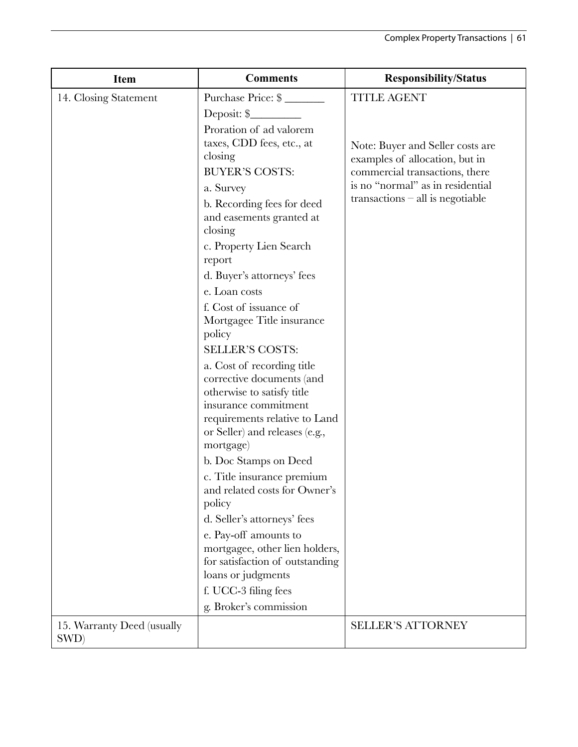| <b>Item</b>                        | <b>Comments</b>                                                                                                                                                                                                        | <b>Responsibility/Status</b>                                                                         |
|------------------------------------|------------------------------------------------------------------------------------------------------------------------------------------------------------------------------------------------------------------------|------------------------------------------------------------------------------------------------------|
| 14. Closing Statement              | Purchase Price: \$                                                                                                                                                                                                     | <b>TITLE AGENT</b>                                                                                   |
|                                    | Deposit: \$                                                                                                                                                                                                            |                                                                                                      |
|                                    | Proration of ad valorem<br>taxes, CDD fees, etc., at<br>closing<br><b>BUYER'S COSTS:</b>                                                                                                                               | Note: Buyer and Seller costs are<br>examples of allocation, but in<br>commercial transactions, there |
|                                    | a. Survey                                                                                                                                                                                                              | is no "normal" as in residential<br>$transactions - all$ is negotiable                               |
|                                    | b. Recording fees for deed<br>and easements granted at<br>closing                                                                                                                                                      |                                                                                                      |
|                                    | c. Property Lien Search                                                                                                                                                                                                |                                                                                                      |
|                                    | report                                                                                                                                                                                                                 |                                                                                                      |
|                                    | d. Buyer's attorneys' fees                                                                                                                                                                                             |                                                                                                      |
|                                    | e. Loan costs                                                                                                                                                                                                          |                                                                                                      |
|                                    | f. Cost of issuance of<br>Mortgagee Title insurance<br>policy                                                                                                                                                          |                                                                                                      |
|                                    | <b>SELLER'S COSTS:</b>                                                                                                                                                                                                 |                                                                                                      |
|                                    | a. Cost of recording title<br>corrective documents (and<br>otherwise to satisfy title<br>insurance commitment<br>requirements relative to Land<br>or Seller) and releases (e.g.,<br>mortgage)<br>b. Doc Stamps on Deed |                                                                                                      |
|                                    | c. Title insurance premium                                                                                                                                                                                             |                                                                                                      |
|                                    | and related costs for Owner's<br>policy                                                                                                                                                                                |                                                                                                      |
|                                    | d. Seller's attorneys' fees                                                                                                                                                                                            |                                                                                                      |
|                                    | e. Pay-off amounts to<br>mortgagee, other lien holders,<br>for satisfaction of outstanding<br>loans or judgments                                                                                                       |                                                                                                      |
|                                    | f. UCC-3 filing fees                                                                                                                                                                                                   |                                                                                                      |
|                                    | g. Broker's commission                                                                                                                                                                                                 |                                                                                                      |
| 15. Warranty Deed (usually<br>SWD) |                                                                                                                                                                                                                        | <b>SELLER'S ATTORNEY</b>                                                                             |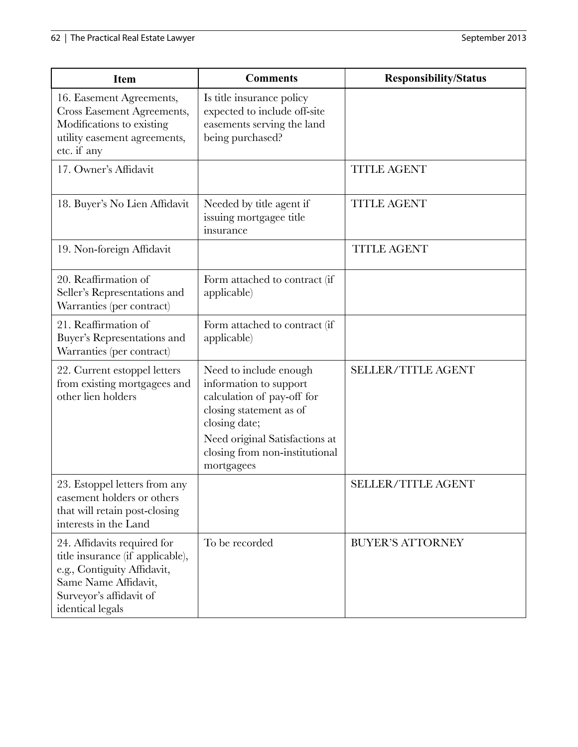| <b>Item</b>                                                                                                                                                           | <b>Comments</b>                                                                                                                                                                                              | <b>Responsibility/Status</b> |
|-----------------------------------------------------------------------------------------------------------------------------------------------------------------------|--------------------------------------------------------------------------------------------------------------------------------------------------------------------------------------------------------------|------------------------------|
| 16. Easement Agreements,<br><b>Cross Easement Agreements,</b><br>Modifications to existing<br>utility easement agreements,<br>etc. if any                             | Is title insurance policy<br>expected to include off-site<br>easements serving the land<br>being purchased?                                                                                                  |                              |
| 17. Owner's Affidavit                                                                                                                                                 |                                                                                                                                                                                                              | <b>TITLE AGENT</b>           |
| 18. Buyer's No Lien Affidavit                                                                                                                                         | Needed by title agent if<br>issuing mortgagee title<br>insurance                                                                                                                                             | <b>TITLE AGENT</b>           |
| 19. Non-foreign Affidavit                                                                                                                                             |                                                                                                                                                                                                              | <b>TITLE AGENT</b>           |
| 20. Reaffirmation of<br>Seller's Representations and<br>Warranties (per contract)                                                                                     | Form attached to contract (if<br>applicable)                                                                                                                                                                 |                              |
| 21. Reaffirmation of<br>Buyer's Representations and<br>Warranties (per contract)                                                                                      | Form attached to contract (if<br>applicable)                                                                                                                                                                 |                              |
| 22. Current estoppel letters<br>from existing mortgagees and<br>other lien holders                                                                                    | Need to include enough<br>information to support<br>calculation of pay-off for<br>closing statement as of<br>closing date;<br>Need original Satisfactions at<br>closing from non-institutional<br>mortgagees | <b>SELLER/TITLE AGENT</b>    |
| 23. Estoppel letters from any<br>easement holders or others<br>that will retain post-closing<br>interests in the Land                                                 |                                                                                                                                                                                                              | <b>SELLER/TITLE AGENT</b>    |
| 24. Affidavits required for<br>title insurance (if applicable),<br>e.g., Contiguity Affidavit,<br>Same Name Affidavit,<br>Surveyor's affidavit of<br>identical legals | To be recorded                                                                                                                                                                                               | <b>BUYER'S ATTORNEY</b>      |